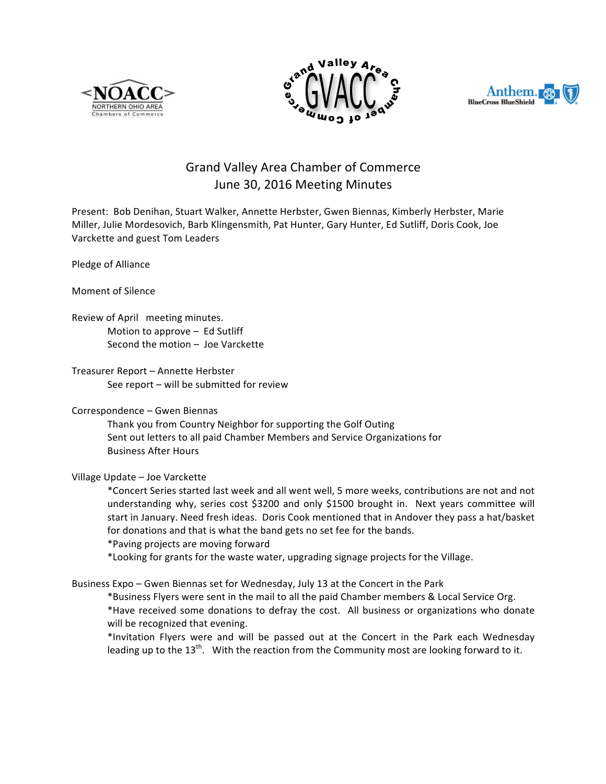





# Grand Valley Area Chamber of Commerce June 30, 2016 Meeting Minutes

Present: Bob Denihan, Stuart Walker, Annette Herbster, Gwen Biennas, Kimberly Herbster, Marie Miller, Julie Mordesovich, Barb Klingensmith, Pat Hunter, Gary Hunter, Ed Sutliff, Doris Cook, Joe Varckette and guest Tom Leaders

Pledge of Alliance

Moment of Silence

Review of April meeting minutes. Motion to approve  $-$  Ed Sutliff Second the motion  $-$  Joe Varckette

Treasurer Report - Annette Herbster See report  $-$  will be submitted for review

## Correspondence – Gwen Biennas

Thank you from Country Neighbor for supporting the Golf Outing Sent out letters to all paid Chamber Members and Service Organizations for Business After Hours

## Village Update – Joe Varckette

\*Concert Series started last week and all went well, 5 more weeks, contributions are not and not understanding why, series cost \$3200 and only \$1500 brought in. Next years committee will start in January. Need fresh ideas. Doris Cook mentioned that in Andover they pass a hat/basket for donations and that is what the band gets no set fee for the bands.

\*Paving projects are moving forward

\*Looking for grants for the waste water, upgrading signage projects for the Village.

Business Expo – Gwen Biennas set for Wednesday, July 13 at the Concert in the Park

\*Business Flyers were sent in the mail to all the paid Chamber members & Local Service Org. \*Have received some donations to defray the cost. All business or organizations who donate will be recognized that evening.

\*Invitation Flyers were and will be passed out at the Concert in the Park each Wednesday leading up to the  $13<sup>th</sup>$ . With the reaction from the Community most are looking forward to it.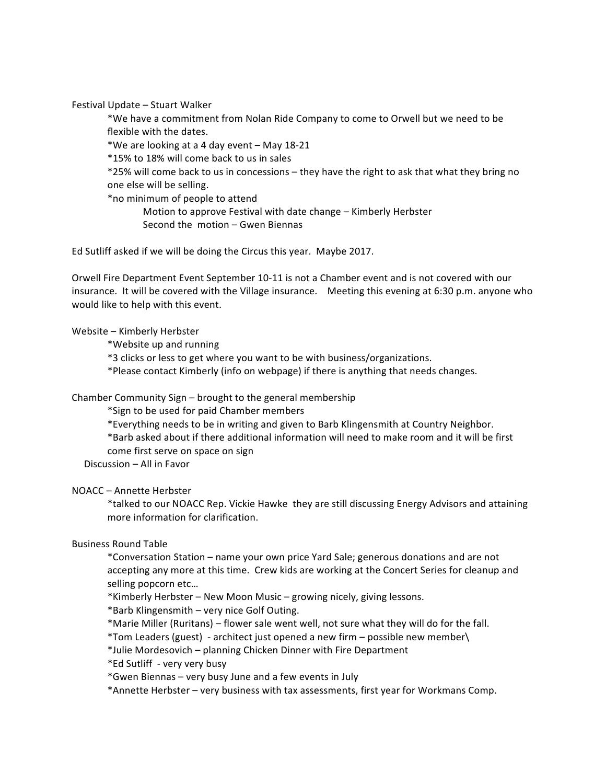Festival Update - Stuart Walker

\*We have a commitment from Nolan Ride Company to come to Orwell but we need to be flexible with the dates.

\*We are looking at a 4 day event - May 18-21

\*15% to 18% will come back to us in sales

\*25% will come back to us in concessions – they have the right to ask that what they bring no one else will be selling.

\*no minimum of people to attend

Motion to approve Festival with date change – Kimberly Herbster Second the  $motion - Gwen Biennas$ 

Ed Sutliff asked if we will be doing the Circus this year. Maybe 2017.

Orwell Fire Department Event September 10-11 is not a Chamber event and is not covered with our insurance. It will be covered with the Village insurance. Meeting this evening at 6:30 p.m. anyone who would like to help with this event.

### Website - Kimberly Herbster

\*Website up and running

\*3 clicks or less to get where you want to be with business/organizations.

\*Please contact Kimberly (info on webpage) if there is anything that needs changes.

## Chamber Community Sign – brought to the general membership

\*Sign to be used for paid Chamber members

\*Everything needs to be in writing and given to Barb Klingensmith at Country Neighbor.

\*Barb asked about if there additional information will need to make room and it will be first come first serve on space on sign

Discussion - All in Favor

## NOACC – Annette Herbster

\*talked to our NOACC Rep. Vickie Hawke they are still discussing Energy Advisors and attaining more information for clarification.

#### Business Round Table

\*Conversation Station – name your own price Yard Sale; generous donations and are not accepting any more at this time. Crew kids are working at the Concert Series for cleanup and selling popcorn etc...

\*Kimberly Herbster - New Moon Music - growing nicely, giving lessons.

\*Barb Klingensmith – very nice Golf Outing.

\*Marie Miller (Ruritans) – flower sale went well, not sure what they will do for the fall.

\*Tom Leaders (guest) - architect just opened a new firm – possible new member\

\*Julie Mordesovich – planning Chicken Dinner with Fire Department

\*Ed Sutliff - very very busy

\*Gwen Biennas – very busy June and a few events in July

\*Annette Herbster – very business with tax assessments, first year for Workmans Comp.